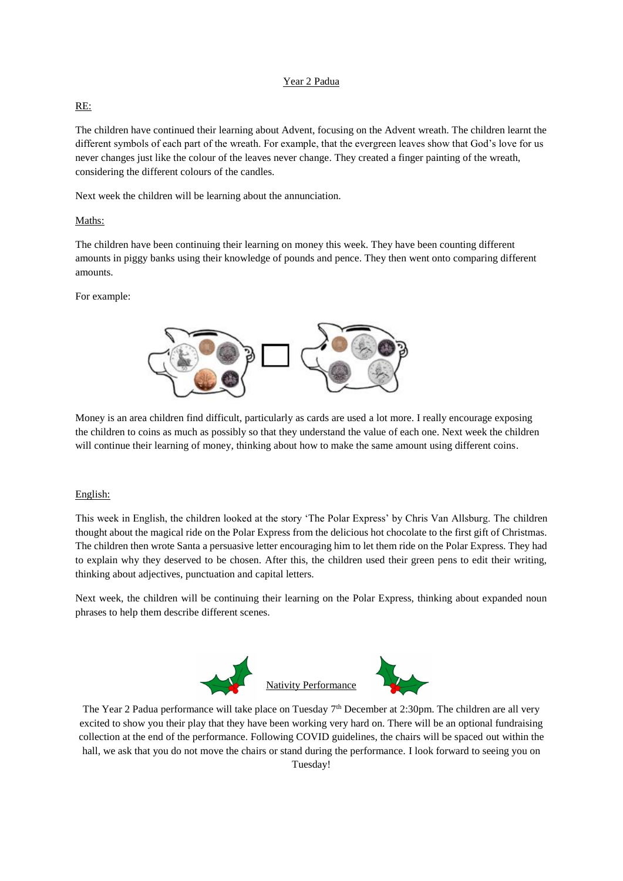### Year 2 Padua

#### RE:

The children have continued their learning about Advent, focusing on the Advent wreath. The children learnt the different symbols of each part of the wreath. For example, that the evergreen leaves show that God's love for us never changes just like the colour of the leaves never change. They created a finger painting of the wreath, considering the different colours of the candles.

Next week the children will be learning about the annunciation.

### Maths:

The children have been continuing their learning on money this week. They have been counting different amounts in piggy banks using their knowledge of pounds and pence. They then went onto comparing different amounts.

For example:



Money is an area children find difficult, particularly as cards are used a lot more. I really encourage exposing the children to coins as much as possibly so that they understand the value of each one. Next week the children will continue their learning of money, thinking about how to make the same amount using different coins.

#### English:

This week in English, the children looked at the story 'The Polar Express' by Chris Van Allsburg. The children thought about the magical ride on the Polar Express from the delicious hot chocolate to the first gift of Christmas. The children then wrote Santa a persuasive letter encouraging him to let them ride on the Polar Express. They had to explain why they deserved to be chosen. After this, the children used their green pens to edit their writing, thinking about adjectives, punctuation and capital letters.

Next week, the children will be continuing their learning on the Polar Express, thinking about expanded noun phrases to help them describe different scenes.



The Year 2 Padua performance will take place on Tuesday 7<sup>th</sup> December at 2:30pm. The children are all very excited to show you their play that they have been working very hard on. There will be an optional fundraising collection at the end of the performance. Following COVID guidelines, the chairs will be spaced out within the hall, we ask that you do not move the chairs or stand during the performance. I look forward to seeing you on